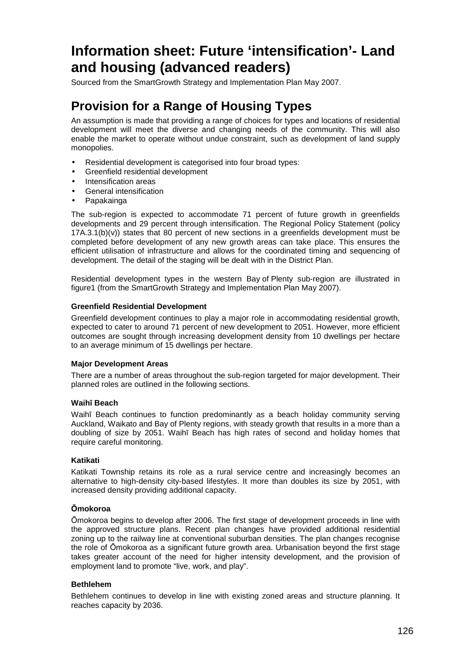# **Information sheet: Future 'intensification'- Land and housing (advanced readers)**

Sourced from the SmartGrowth Strategy and Implementation Plan May 2007.

# **Provision for a Range of Housing Types**

An assumption is made that providing a range of choices for types and locations of residential development will meet the diverse and changing needs of the community. This will also enable the market to operate without undue constraint, such as development of land supply monopolies.

- Residential development is categorised into four broad types:
- Greenfield residential development
- Intensification areas
- General intensification
- Papakainga

The sub-region is expected to accommodate 71 percent of future growth in greenfields developments and 29 percent through intensification. The Regional Policy Statement (policy 17A.3.1(b)(v)) states that 80 percent of new sections in a greenfields development must be completed before development of any new growth areas can take place. This ensures the efficient utilisation of infrastructure and allows for the coordinated timing and sequencing of development. The detail of the staging will be dealt with in the District Plan.

Residential development types in the western Bay of Plenty sub-region are illustrated in figure1 (from the SmartGrowth Strategy and Implementation Plan May 2007).

# **Greenfield Residential Development**

Greenfield development continues to play a major role in accommodating residential growth, expected to cater to around 71 percent of new development to 2051. However, more efficient outcomes are sought through increasing development density from 10 dwellings per hectare to an average minimum of 15 dwellings per hectare.

# **Major Development Areas**

There are a number of areas throughout the sub-region targeted for major development. Their planned roles are outlined in the following sections.

# **Waihī Beach**

Waihī Beach continues to function predominantly as a beach holiday community serving Auckland, Waikato and Bay of Plenty regions, with steady growth that results in a more than a doubling of size by 2051. Waihī Beach has high rates of second and holiday homes that require careful monitoring.

# **Katikati**

Katikati Township retains its role as a rural service centre and increasingly becomes an alternative to high-density city-based lifestyles. It more than doubles its size by 2051, with increased density providing additional capacity.

# **Ōmokoroa**

Ōmokoroa begins to develop after 2006. The first stage of development proceeds in line with the approved structure plans. Recent plan changes have provided additional residential zoning up to the railway line at conventional suburban densities. The plan changes recognise the role of Ōmokoroa as a significant future growth area. Urbanisation beyond the first stage takes greater account of the need for higher intensity development, and the provision of employment land to promote "live, work, and play".

# **Bethlehem**

Bethlehem continues to develop in line with existing zoned areas and structure planning. It reaches capacity by 2036.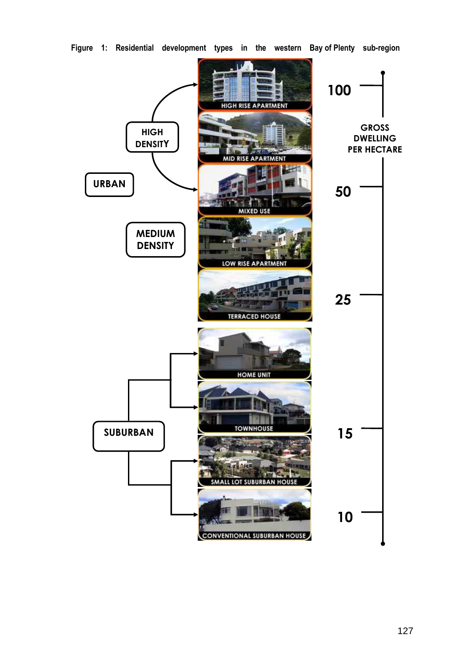

**Figure 1: Residential development types in the western Bay of Plenty sub-region**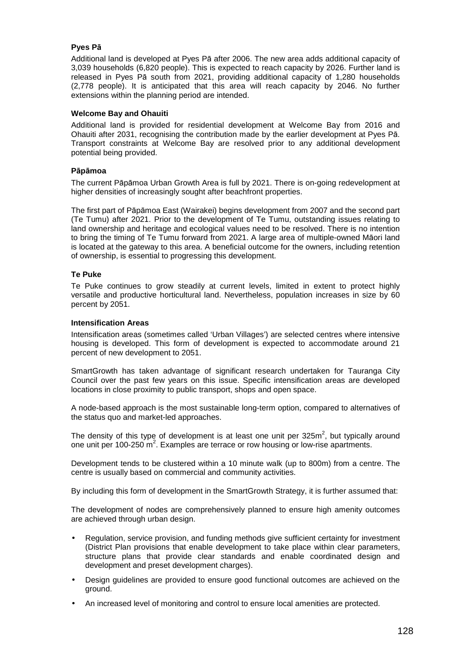# **Pyes Pā**

Additional land is developed at Pyes Pā after 2006. The new area adds additional capacity of 3,039 households (6,820 people). This is expected to reach capacity by 2026. Further land is released in Pyes Pā south from 2021, providing additional capacity of 1,280 households (2,778 people). It is anticipated that this area will reach capacity by 2046. No further extensions within the planning period are intended.

#### **Welcome Bay and Ohauiti**

Additional land is provided for residential development at Welcome Bay from 2016 and Ohauiti after 2031, recognising the contribution made by the earlier development at Pyes Pā. Transport constraints at Welcome Bay are resolved prior to any additional development potential being provided.

#### **Pāpāmoa**

The current Pāpāmoa Urban Growth Area is full by 2021. There is on-going redevelopment at higher densities of increasingly sought after beachfront properties.

The first part of Pāpāmoa East (Wairakei) begins development from 2007 and the second part (Te Tumu) after 2021. Prior to the development of Te Tumu, outstanding issues relating to land ownership and heritage and ecological values need to be resolved. There is no intention to bring the timing of Te Tumu forward from 2021. A large area of multiple-owned Māori land is located at the gateway to this area. A beneficial outcome for the owners, including retention of ownership, is essential to progressing this development.

# **Te Puke**

Te Puke continues to grow steadily at current levels, limited in extent to protect highly versatile and productive horticultural land. Nevertheless, population increases in size by 60 percent by 2051.

#### **Intensification Areas**

Intensification areas (sometimes called 'Urban Villages') are selected centres where intensive housing is developed. This form of development is expected to accommodate around 21 percent of new development to 2051.

SmartGrowth has taken advantage of significant research undertaken for Tauranga City Council over the past few years on this issue. Specific intensification areas are developed locations in close proximity to public transport, shops and open space.

A node-based approach is the most sustainable long-term option, compared to alternatives of the status quo and market-led approaches.

The density of this type of development is at least one unit per 325m<sup>2</sup>, but typically around one unit per 100-250 m<sup>2</sup>. Examples are terrace or row housing or low-rise apartments.

Development tends to be clustered within a 10 minute walk (up to 800m) from a centre. The centre is usually based on commercial and community activities.

By including this form of development in the SmartGrowth Strategy, it is further assumed that:

The development of nodes are comprehensively planned to ensure high amenity outcomes are achieved through urban design.

- Regulation, service provision, and funding methods give sufficient certainty for investment (District Plan provisions that enable development to take place within clear parameters, structure plans that provide clear standards and enable coordinated design and development and preset development charges).
- Design guidelines are provided to ensure good functional outcomes are achieved on the ground.
- An increased level of monitoring and control to ensure local amenities are protected.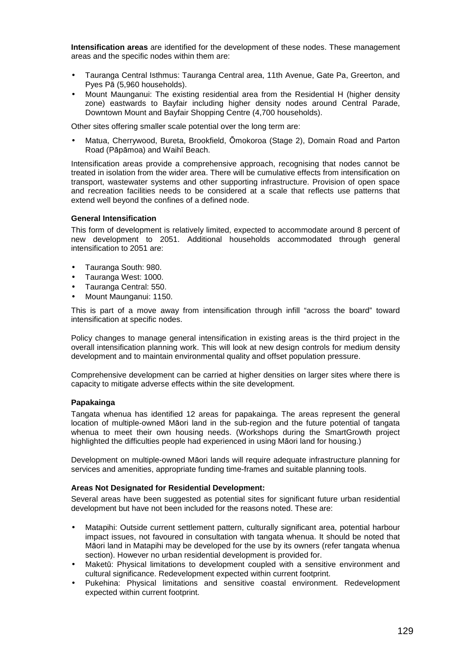**Intensification areas** are identified for the development of these nodes. These management areas and the specific nodes within them are:

- Tauranga Central Isthmus: Tauranga Central area, 11th Avenue, Gate Pa, Greerton, and Pyes Pā (5,960 households).
- Mount Maunganui: The existing residential area from the Residential H (higher density zone) eastwards to Bayfair including higher density nodes around Central Parade, Downtown Mount and Bayfair Shopping Centre (4,700 households).

Other sites offering smaller scale potential over the long term are:

• Matua, Cherrywood, Bureta, Brookfield, Ōmokoroa (Stage 2), Domain Road and Parton Road (Pāpāmoa) and Waihī Beach.

Intensification areas provide a comprehensive approach, recognising that nodes cannot be treated in isolation from the wider area. There will be cumulative effects from intensification on transport, wastewater systems and other supporting infrastructure. Provision of open space and recreation facilities needs to be considered at a scale that reflects use patterns that extend well beyond the confines of a defined node.

#### **General Intensification**

This form of development is relatively limited, expected to accommodate around 8 percent of new development to 2051. Additional households accommodated through general intensification to 2051 are:

- Tauranga South: 980.
- Tauranga West: 1000.
- Tauranga Central: 550.
- Mount Maunganui: 1150.

This is part of a move away from intensification through infill "across the board" toward intensification at specific nodes.

Policy changes to manage general intensification in existing areas is the third project in the overall intensification planning work. This will look at new design controls for medium density development and to maintain environmental quality and offset population pressure.

Comprehensive development can be carried at higher densities on larger sites where there is capacity to mitigate adverse effects within the site development.

#### **Papakainga**

Tangata whenua has identified 12 areas for papakainga. The areas represent the general location of multiple-owned Māori land in the sub-region and the future potential of tangata whenua to meet their own housing needs. (Workshops during the SmartGrowth project highlighted the difficulties people had experienced in using Māori land for housing.)

Development on multiple-owned Māori lands will require adequate infrastructure planning for services and amenities, appropriate funding time-frames and suitable planning tools.

#### **Areas Not Designated for Residential Development:**

Several areas have been suggested as potential sites for significant future urban residential development but have not been included for the reasons noted. These are:

- Matapihi: Outside current settlement pattern, culturally significant area, potential harbour impact issues, not favoured in consultation with tangata whenua. It should be noted that Māori land in Matapihi may be developed for the use by its owners (refer tangata whenua section). However no urban residential development is provided for.
- Maketū: Physical limitations to development coupled with a sensitive environment and cultural significance. Redevelopment expected within current footprint.
- Pukehina: Physical limitations and sensitive coastal environment. Redevelopment expected within current footprint.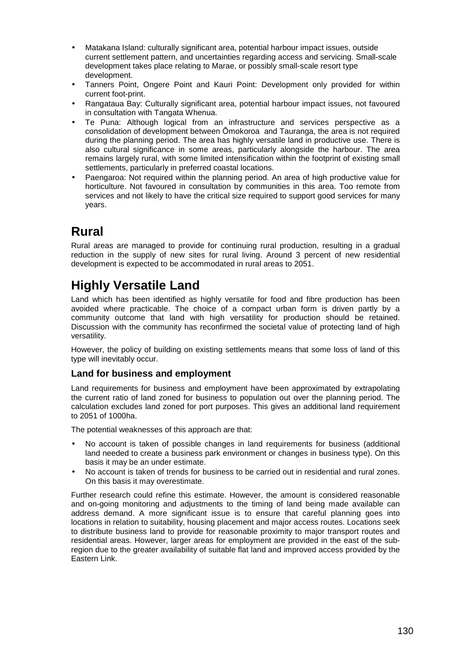- Matakana Island: culturally significant area, potential harbour impact issues, outside current settlement pattern, and uncertainties regarding access and servicing. Small-scale development takes place relating to Marae, or possibly small-scale resort type development.
- Tanners Point, Ongere Point and Kauri Point: Development only provided for within current foot-print.
- Rangataua Bay: Culturally significant area, potential harbour impact issues, not favoured in consultation with Tangata Whenua.
- Te Puna: Although logical from an infrastructure and services perspective as a consolidation of development between Ōmokoroa and Tauranga, the area is not required during the planning period. The area has highly versatile land in productive use. There is also cultural significance in some areas, particularly alongside the harbour. The area remains largely rural, with some limited intensification within the footprint of existing small settlements, particularly in preferred coastal locations.
- Paengaroa: Not required within the planning period. An area of high productive value for horticulture. Not favoured in consultation by communities in this area. Too remote from services and not likely to have the critical size required to support good services for many years.

# **Rural**

Rural areas are managed to provide for continuing rural production, resulting in a gradual reduction in the supply of new sites for rural living. Around 3 percent of new residential development is expected to be accommodated in rural areas to 2051.

# **Highly Versatile Land**

Land which has been identified as highly versatile for food and fibre production has been avoided where practicable. The choice of a compact urban form is driven partly by a community outcome that land with high versatility for production should be retained. Discussion with the community has reconfirmed the societal value of protecting land of high versatility.

However, the policy of building on existing settlements means that some loss of land of this type will inevitably occur.

# **Land for business and employment**

Land requirements for business and employment have been approximated by extrapolating the current ratio of land zoned for business to population out over the planning period. The calculation excludes land zoned for port purposes. This gives an additional land requirement to 2051 of 1000ha.

The potential weaknesses of this approach are that:

- No account is taken of possible changes in land requirements for business (additional land needed to create a business park environment or changes in business type). On this basis it may be an under estimate.
- No account is taken of trends for business to be carried out in residential and rural zones. On this basis it may overestimate.

Further research could refine this estimate. However, the amount is considered reasonable and on-going monitoring and adjustments to the timing of land being made available can address demand. A more significant issue is to ensure that careful planning goes into locations in relation to suitability, housing placement and major access routes. Locations seek to distribute business land to provide for reasonable proximity to major transport routes and residential areas. However, larger areas for employment are provided in the east of the subregion due to the greater availability of suitable flat land and improved access provided by the Eastern Link.